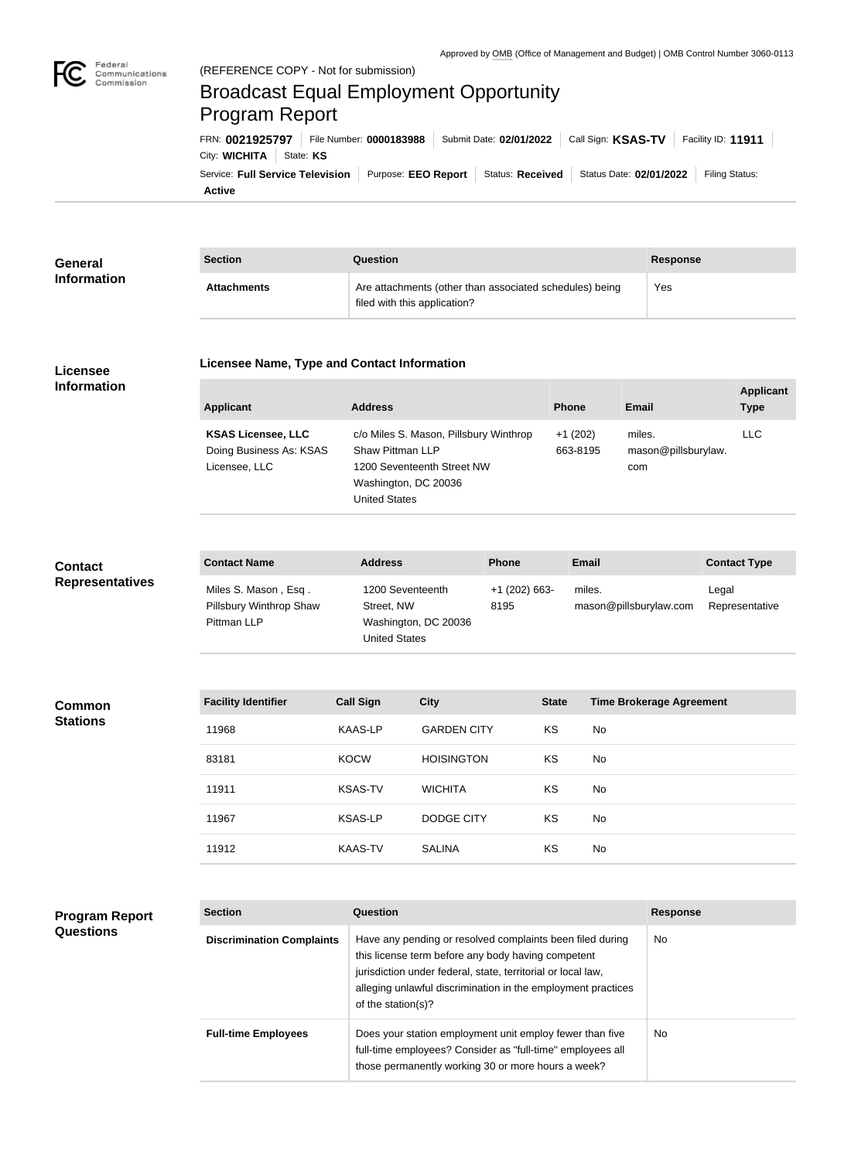

# Broadcast Equal Employment Opportunity Program Report

**Active** Service: Full Service Television | Purpose: EEO Report | Status: Received | Status Date: 02/01/2022 | Filing Status: City: **WICHITA** | State: KS FRN: **0021925797** File Number: **0000183988** Submit Date: **02/01/2022** Call Sign: **KSAS-TV** Facility ID: **11911**

| General<br><b>Information</b> | <b>Section</b>     | Question                                                                                | <b>Response</b> |
|-------------------------------|--------------------|-----------------------------------------------------------------------------------------|-----------------|
|                               | <b>Attachments</b> | Are attachments (other than associated schedules) being<br>filed with this application? | Yes             |

#### **Licensee Information**

#### **Licensee Name, Type and Contact Information**

| Applicant                                                             | <b>Address</b>                                                                                                                           | <b>Phone</b>          | Email                                | <b>Applicant</b><br><b>Type</b> |
|-----------------------------------------------------------------------|------------------------------------------------------------------------------------------------------------------------------------------|-----------------------|--------------------------------------|---------------------------------|
| <b>KSAS Licensee, LLC</b><br>Doing Business As: KSAS<br>Licensee, LLC | c/o Miles S. Mason, Pillsbury Winthrop<br>Shaw Pittman LLP<br>1200 Seventeenth Street NW<br>Washington, DC 20036<br><b>United States</b> | $+1(202)$<br>663-8195 | miles.<br>mason@pillsburylaw.<br>com | LLC.                            |

#### **Contact Name Address Phone Email Contact Type** Miles S. Mason , Esq . Pillsbury Winthrop Shaw Pittman LLP 1200 Seventeenth Street, NW Washington, DC 20036 +1 (202) 663- 8195 miles. mason@pillsburylaw.com Legal Representative **Contact Representatives**

United States

| <b>Common</b>   | <b>Facility Identifier</b> | <b>Call Sign</b> | <b>City</b>        | <b>State</b> | <b>Time Brokerage Agreement</b> |
|-----------------|----------------------------|------------------|--------------------|--------------|---------------------------------|
| <b>Stations</b> | 11968                      | KAAS-LP          | <b>GARDEN CITY</b> | KS           | No                              |
|                 | 83181                      | <b>KOCW</b>      | <b>HOISINGTON</b>  | KS           | No                              |
|                 | 11911                      | <b>KSAS-TV</b>   | <b>WICHITA</b>     | KS           | No                              |
|                 | 11967                      | <b>KSAS-LP</b>   | <b>DODGE CITY</b>  | KS           | No                              |
|                 | 11912                      | <b>KAAS-TV</b>   | <b>SALINA</b>      | KS           | No                              |

## **Program Report Questions**

| <b>Section</b>                   | Question                                                                                                                                                                                                                                                              | <b>Response</b> |
|----------------------------------|-----------------------------------------------------------------------------------------------------------------------------------------------------------------------------------------------------------------------------------------------------------------------|-----------------|
| <b>Discrimination Complaints</b> | Have any pending or resolved complaints been filed during<br>this license term before any body having competent<br>jurisdiction under federal, state, territorial or local law,<br>alleging unlawful discrimination in the employment practices<br>of the station(s)? | No.             |
| <b>Full-time Employees</b>       | Does your station employment unit employ fewer than five<br>full-time employees? Consider as "full-time" employees all<br>those permanently working 30 or more hours a week?                                                                                          | No.             |